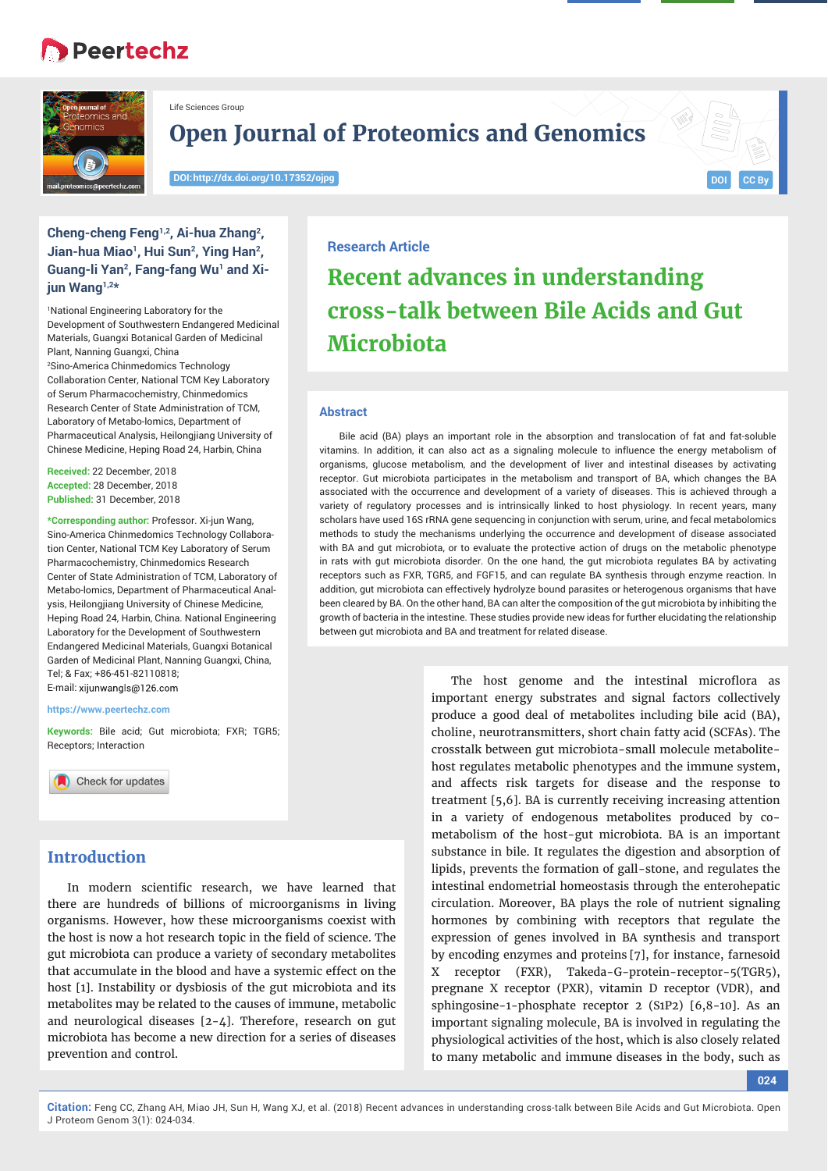# **Peertechz**



Life Sciences Group

**Open Journal of Proteomics and Genomics**

**DOI: http://dx.doi.org/10.17352/ojpg**



## **Cheng-cheng Feng1,2, Ai-hua Zhang2,**  Jian-hua Miao<sup>1</sup>, Hui Sun<sup>2</sup>, Ying Han<sup>2</sup>, Guang-li Yan<sup>2</sup>, Fang-fang Wu<sup>1</sup> and Xi**jun Wang1,2\***

1 National Engineering Laboratory for the Development of Southwestern Endangered Medicinal Materials, Guangxi Botanical Garden of Medicinal Plant, Nanning Guangxi, China 2 Sino-America Chinmedomics Technology Collaboration Center, National TCM Key Laboratory of Serum Pharmacochemistry, Chinmedomics Research Center of State Administration of TCM, Laboratory of Metabo-lomics, Department of Pharmaceutical Analysis, Heilongjiang University of Chinese Medicine, Heping Road 24, Harbin, China

**Received:** 22 December, 2018 **Accepted:** 28 December, 2018 **Published:** 31 December, 2018

**\*Corresponding author:** Professor. Xi-jun Wang, Sino-America Chinmedomics Technology Collaboration Center, National TCM Key Laboratory of Serum Pharmacochemistry, Chinmedomics Research Center of State Administration of TCM, Laboratory of Metabo-lomics, Department of Pharmaceutical Analysis, Heilongjiang University of Chinese Medicine, Heping Road 24, Harbin, China. National Engineering Laboratory for the Development of Southwestern Endangered Medicinal Materials, Guangxi Botanical Garden of Medicinal Plant, Nanning Guangxi, China, Tel; & Fax; +86-451-82110818; E-mail: xijunwangls@126.com

**https://www.peertechz.com**

**Keywords:** Bile acid; Gut microbiota; FXR; TGR5; Receptors; Interaction

Check for updates

# **Introduction**

In modern scientific research, we have learned that there are hundreds of billions of microorganisms in living organisms. However, how these microorganisms coexist with the host is now a hot research topic in the field of science. The gut microbiota can produce a variety of secondary metabolites that accumulate in the blood and have a systemic effect on the host [1]. Instability or dysbiosis of the gut microbiota and its metabolites may be related to the causes of immune, metabolic and neurological diseases [2-4]. Therefore, research on gut microbiota has become a new direction for a series of diseases prevention and control.

## **Research Article**

# **Recent advances in understanding cross-talk between Bile Acids and Gut Microbiota**

## **Abstract**

Bile acid (BA) plays an important role in the absorption and translocation of fat and fat-soluble vitamins. In addition, it can also act as a signaling molecule to influence the energy metabolism of organisms, glucose metabolism, and the development of liver and intestinal diseases by activating receptor. Gut microbiota participates in the metabolism and transport of BA, which changes the BA associated with the occurrence and development of a variety of diseases. This is achieved through a variety of regulatory processes and is intrinsically linked to host physiology. In recent years, many scholars have used 16S rRNA gene sequencing in conjunction with serum, urine, and fecal metabolomics methods to study the mechanisms underlying the occurrence and development of disease associated with BA and gut microbiota, or to evaluate the protective action of drugs on the metabolic phenotype in rats with gut microbiota disorder. On the one hand, the gut microbiota regulates BA by activating receptors such as FXR, TGR5, and FGF15, and can regulate BA synthesis through enzyme reaction. In addition, gut microbiota can effectively hydrolyze bound parasites or heterogenous organisms that have been cleared by BA. On the other hand, BA can alter the composition of the gut microbiota by inhibiting the growth of bacteria in the intestine. These studies provide new ideas for further elucidating the relationship between gut microbiota and BA and treatment for related disease.

> The host genome and the intestinal microflora as important energy substrates and signal factors collectively produce a good deal of metabolites including bile acid (BA), choline, neurotransmitters, short chain fatty acid (SCFAs). The crosstalk between gut microbiota-small molecule metabolitehost regulates metabolic phenotypes and the immune system, and affects risk targets for disease and the response to treatment [5,6]. BA is currently receiving increasing attention in a variety of endogenous metabolites produced by cometabolism of the host-gut microbiota. BA is an important substance in bile. It regulates the digestion and absorption of lipids, prevents the formation of gall-stone, and regulates the intestinal endometrial homeostasis through the enterohepatic circulation. Moreover, BA plays the role of nutrient signaling hormones by combining with receptors that regulate the expression of genes involved in BA synthesis and transport by encoding enzymes and proteins [7], for instance, farnesoid X receptor (FXR), Takeda-G-protein-receptor-5(TGR5), pregnane X receptor (PXR), vitamin D receptor (VDR), and sphingosine-1-phosphate receptor 2 (S1P2) [6,8-10]. As an important signaling molecule, BA is involved in regulating the physiological activities of the host, which is also closely related to many metabolic and immune diseases in the body, such as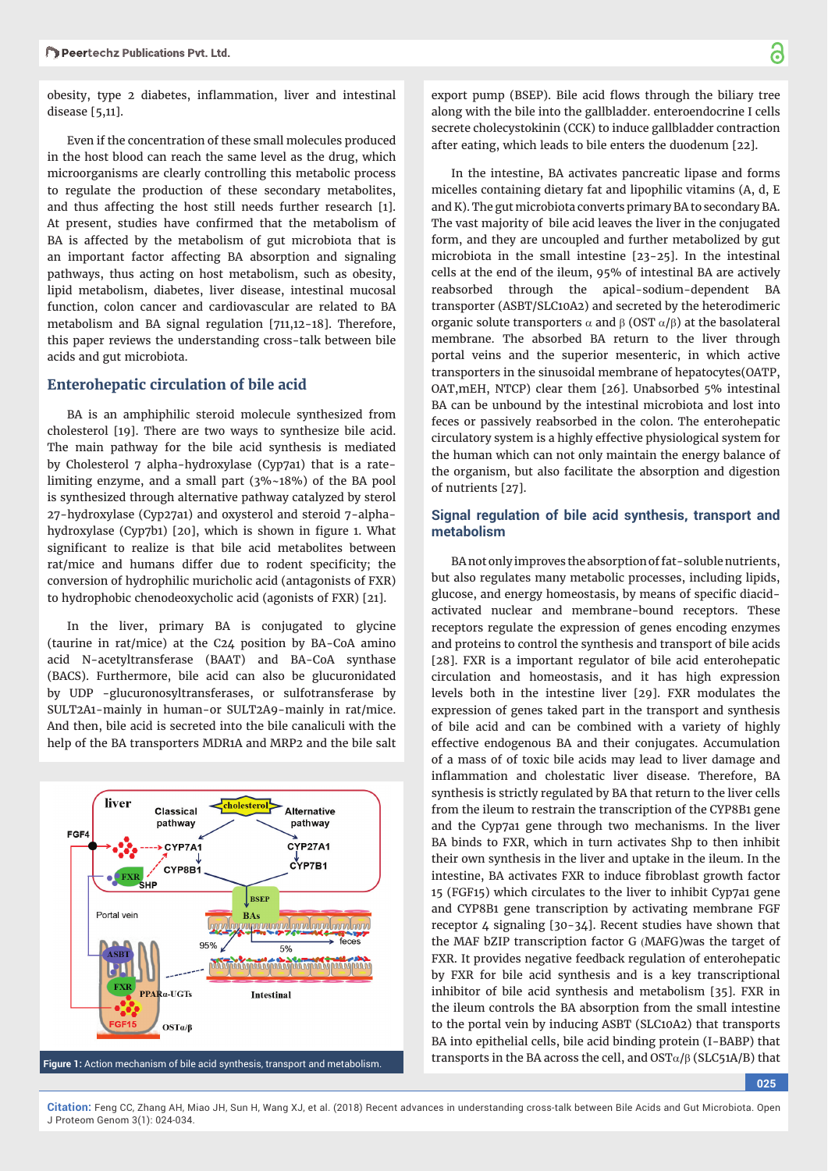obesity, type 2 diabetes, inflammation, liver and intestinal disease [5,11].

Even if the concentration of these small molecules produced in the host blood can reach the same level as the drug, which microorganisms are clearly controlling this metabolic process to regulate the production of these secondary metabolites, and thus affecting the host still needs further research [1]. At present, studies have confirmed that the metabolism of BA is affected by the metabolism of gut microbiota that is an important factor affecting BA absorption and signaling pathways, thus acting on host metabolism, such as obesity, lipid metabolism, diabetes, liver disease, intestinal mucosal function, colon cancer and cardiovascular are related to BA metabolism and BA signal regulation [711,12-18]. Therefore, this paper reviews the understanding cross-talk between bile acids and gut microbiota.

#### **Enterohepatic circulation of bile acid**

BA is an amphiphilic steroid molecule synthesized from cholesterol [19]. There are two ways to synthesize bile acid. The main pathway for the bile acid synthesis is mediated by Cholesterol 7 alpha-hydroxylase (Cyp7a1) that is a ratelimiting enzyme, and a small part (3%~18%) of the BA pool is synthesized through alternative pathway catalyzed by sterol 27-hydroxylase (Cyp27a1) and oxysterol and steroid 7-alphahydroxylase (Cyp7b1) [20], which is shown in figure 1. What significant to realize is that bile acid metabolites between rat/mice and humans differ due to rodent specificity; the conversion of hydrophilic muricholic acid (antagonists of FXR) to hydrophobic chenodeoxycholic acid (agonists of FXR) [21].

In the liver, primary BA is conjugated to glycine (taurine in rat/mice) at the C24 position by BA-CoA amino acid N-acetyltransferase (BAAT) and BA-CoA synthase (BACS). Furthermore, bile acid can also be glucuronidated by UDP -glucuronosyltransferases, or sulfotransferase by SULT2A1-mainly in human-or SULT2A9-mainly in rat/mice. And then, bile acid is secreted into the bile canaliculi with the help of the BA transporters MDR1A and MRP2 and the bile salt



export pump (BSEP). Bile acid flows through the biliary tree along with the bile into the gallbladder. enteroendocrine I cells secrete cholecystokinin (CCK) to induce gallbladder contraction after eating, which leads to bile enters the duodenum [22].

In the intestine, BA activates pancreatic lipase and forms micelles containing dietary fat and lipophilic vitamins (A, d, E and K). The gut microbiota converts primary BA to secondary BA. The vast majority of bile acid leaves the liver in the conjugated form, and they are uncoupled and further metabolized by gut microbiota in the small intestine [23-25]. In the intestinal cells at the end of the ileum, 95% of intestinal BA are actively reabsorbed through the apical-sodium-dependent BA transporter (ASBT/SLC10A2) and secreted by the heterodimeric organic solute transporters  $\alpha$  and  $\beta$  (OST  $\alpha/\beta$ ) at the basolateral membrane. The absorbed BA return to the liver through portal veins and the superior mesenteric, in which active transporters in the sinusoidal membrane of hepatocytes(OATP, OAT,mEH, NTCP) clear them [26]. Unabsorbed 5% intestinal BA can be unbound by the intestinal microbiota and lost into feces or passively reabsorbed in the colon. The enterohepatic circulatory system is a highly effective physiological system for the human which can not only maintain the energy balance of the organism, but also facilitate the absorption and digestion of nutrients [27].

### **Signal regulation of bile acid synthesis, transport and metabolism**

BA not only improves the absorption of fat-soluble nutrients, but also regulates many metabolic processes, including lipids, glucose, and energy homeostasis, by means of specific diacidactivated nuclear and membrane-bound receptors. These receptors regulate the expression of genes encoding enzymes and proteins to control the synthesis and transport of bile acids [28]. FXR is a important regulator of bile acid enterohepatic circulation and homeostasis, and it has high expression levels both in the intestine liver [29]. FXR modulates the expression of genes taked part in the transport and synthesis of bile acid and can be combined with a variety of highly effective endogenous BA and their conjugates. Accumulation of a mass of of toxic bile acids may lead to liver damage and inflammation and cholestatic liver disease. Therefore, BA synthesis is strictly regulated by BA that return to the liver cells from the ileum to restrain the transcription of the CYP8B1 gene and the Cyp7a1 gene through two mechanisms. In the liver BA binds to FXR, which in turn activates Shp to then inhibit their own synthesis in the liver and uptake in the ileum. In the intestine, BA activates FXR to induce fibroblast growth factor 15 (FGF15) which circulates to the liver to inhibit Cyp7a1 gene and CYP8B1 gene transcription by activating membrane FGF receptor  $\Delta$  signaling [30-3 $\Delta$ ]. Recent studies have shown that the MAF bZIP transcription factor G MAFG)was the target of FXR. It provides negative feedback regulation of enterohepatic by FXR for bile acid synthesis and is a key transcriptional inhibitor of bile acid synthesis and metabolism [35]. FXR in the ileum controls the BA absorption from the small intestine to the portal vein by inducing ASBT (SLC10A2) that transports BA into epithelial cells, bile acid binding protein (I-BABP) that

**025**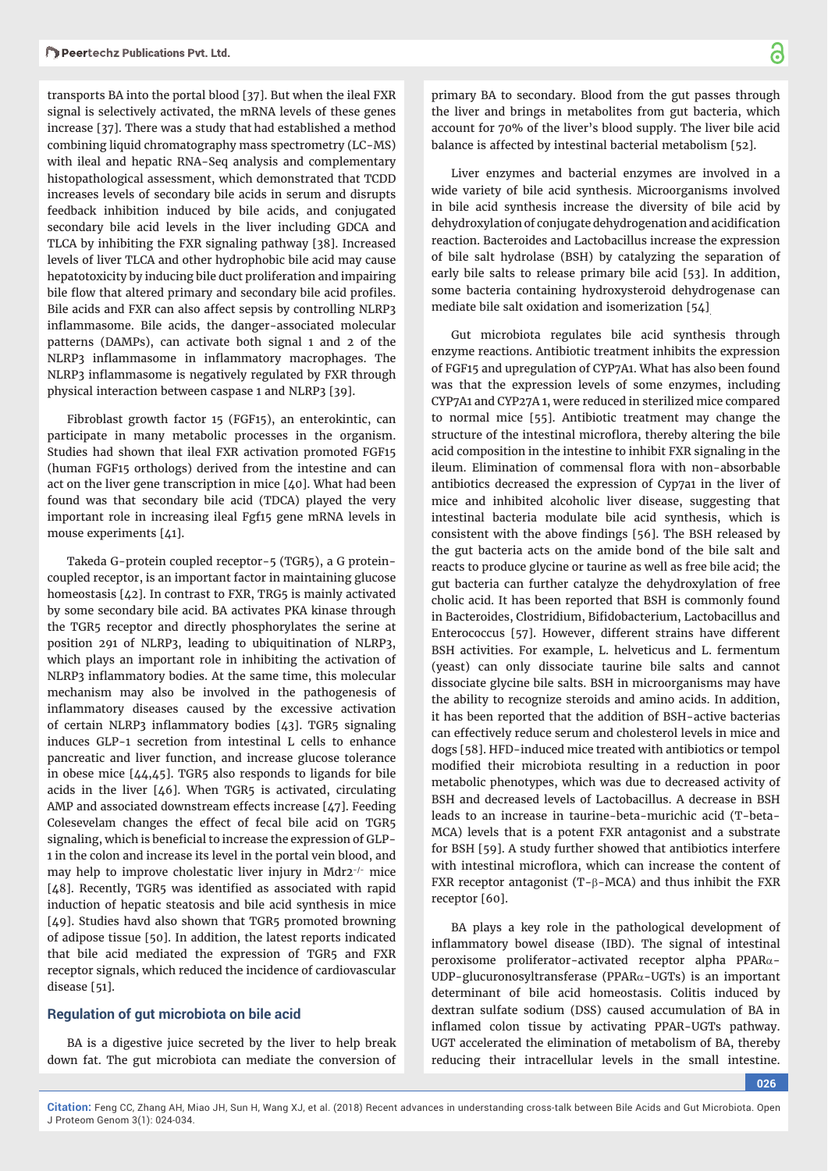transports BA into the portal blood [37]. But when the ileal FXR signal is selectively activated, the mRNA levels of these genes increase [37]. There was a study that had established a method combining liquid chromatography mass spectrometry (LC-MS) with ileal and hepatic RNA-Seq analysis and complementary histopathological assessment, which demonstrated that TCDD increases levels of secondary bile acids in serum and disrupts feedback inhibition induced by bile acids, and conjugated secondary bile acid levels in the liver including GDCA and TLCA by inhibiting the FXR signaling pathway [38]. Increased levels of liver TLCA and other hydrophobic bile acid may cause hepatotoxicity by inducing bile duct proliferation and impairing bile flow that altered primary and secondary bile acid profiles. Bile acids and FXR can also affect sepsis by controlling NLRP3 inflammasome. Bile acids, the danger-associated molecular patterns (DAMPs), can activate both signal 1 and 2 of the NLRP3 inflammasome in inflammatory macrophages. The NLRP3 inflammasome is negatively regulated by FXR through physical interaction between caspase 1 and NLRP3 [39].

Fibroblast growth factor 15 (FGF15), an enterokintic, can participate in many metabolic processes in the organism. Studies had shown that ileal FXR activation promoted FGF15 (human FGF15 orthologs) derived from the intestine and can act on the liver gene transcription in mice [40]. What had been found was that secondary bile acid (TDCA) played the very important role in increasing ileal Fgf15 gene mRNA levels in mouse experiments [41].

Takeda G-protein coupled receptor-5 (TGR5), a G proteincoupled receptor, is an important factor in maintaining glucose homeostasis [42]. In contrast to FXR, TRG5 is mainly activated by some secondary bile acid. BA activates PKA kinase through the TGR5 receptor and directly phosphorylates the serine at position 291 of NLRP3, leading to ubiquitination of NLRP3, which plays an important role in inhibiting the activation of NLRP3 inflammatory bodies. At the same time, this molecular mechanism may also be involved in the pathogenesis of inflammatory diseases caused by the excessive activation of certain NLRP3 inflammatory bodies [43]. TGR5 signaling induces GLP-1 secretion from intestinal L cells to enhance pancreatic and liver function, and increase glucose tolerance in obese mice [44,45]. TGR5 also responds to ligands for bile acids in the liver [46]. When TGR5 is activated, circulating AMP and associated downstream effects increase [47]. Feeding Colesevelam changes the effect of fecal bile acid on TGR5 signaling, which is beneficial to increase the expression of GLP-1 in the colon and increase its level in the portal vein blood, and may help to improve cholestatic liver injury in Mdr2-/- mice [48]. Recently, TGR5 was identified as associated with rapid induction of hepatic steatosis and bile acid synthesis in mice [49]. Studies havd also shown that TGR5 promoted browning of adipose tissue [50]. In addition, the latest reports indicated that bile acid mediated the expression of TGR5 and FXR receptor signals, which reduced the incidence of cardiovascular disease [51].

#### **Regulation of gut microbiota on bile acid**

BA is a digestive juice secreted by the liver to help break down fat. The gut microbiota can mediate the conversion of primary BA to secondary. Blood from the gut passes through the liver and brings in metabolites from gut bacteria, which account for 70% of the liver's blood supply. The liver bile acid balance is affected by intestinal bacterial metabolism [52].

Liver enzymes and bacterial enzymes are involved in a wide variety of bile acid synthesis. Microorganisms involved in bile acid synthesis increase the diversity of bile acid by dehydroxylation of conjugate dehydrogenation and acidification reaction. Bacteroides and Lactobacillus increase the expression of bile salt hydrolase (BSH) by catalyzing the separation of early bile salts to release primary bile acid [53]. In addition, some bacteria containing hydroxysteroid dehydrogenase can mediate bile salt oxidation and isomerization [54].

Gut microbiota regulates bile acid synthesis through enzyme reactions. Antibiotic treatment inhibits the expression of FGF15 and upregulation of CYP7A1. What has also been found was that the expression levels of some enzymes, including CYP7A1 and CYP27A 1, were reduced in sterilized mice compared to normal mice [55]. Antibiotic treatment may change the structure of the intestinal microflora, thereby altering the bile acid composition in the intestine to inhibit FXR signaling in the ileum. Elimination of commensal flora with non-absorbable antibiotics decreased the expression of Cyp7a1 in the liver of mice and inhibited alcoholic liver disease, suggesting that intestinal bacteria modulate bile acid synthesis, which is consistent with the above findings [56]. The BSH released by the gut bacteria acts on the amide bond of the bile salt and reacts to produce glycine or taurine as well as free bile acid; the gut bacteria can further catalyze the dehydroxylation of free cholic acid. It has been reported that BSH is commonly found in Bacteroides, Clostridium, Bifidobacterium, Lactobacillus and Enterococcus [57]. However, different strains have different BSH activities. For example, L. helveticus and L. fermentum (yeast) can only dissociate taurine bile salts and cannot dissociate glycine bile salts. BSH in microorganisms may have the ability to recognize steroids and amino acids. In addition, it has been reported that the addition of BSH-active bacterias can effectively reduce serum and cholesterol levels in mice and dogs [58]. HFD-induced mice treated with antibiotics or tempol modified their microbiota resulting in a reduction in poor metabolic phenotypes, which was due to decreased activity of BSH and decreased levels of Lactobacillus. A decrease in BSH leads to an increase in taurine-beta-murichic acid (T-beta-MCA) levels that is a potent FXR antagonist and a substrate for BSH [59]. A study further showed that antibiotics interfere with intestinal microflora, which can increase the content of FXR receptor antagonist (T- $\beta$ -MCA) and thus inhibit the FXR receptor [60].

BA plays a key role in the pathological development of inflammatory bowel disease (IBD). The signal of intestinal peroxisome proliferator-activated receptor alpha PPAR $\alpha$ -UDP-glucuronosyltransferase (PPAR $\alpha$ -UGTs) is an important determinant of bile acid homeostasis. Colitis induced by dextran sulfate sodium (DSS) caused accumulation of BA in inflamed colon tissue by activating PPAR-UGTs pathway. UGT accelerated the elimination of metabolism of BA, thereby reducing their intracellular levels in the small intestine.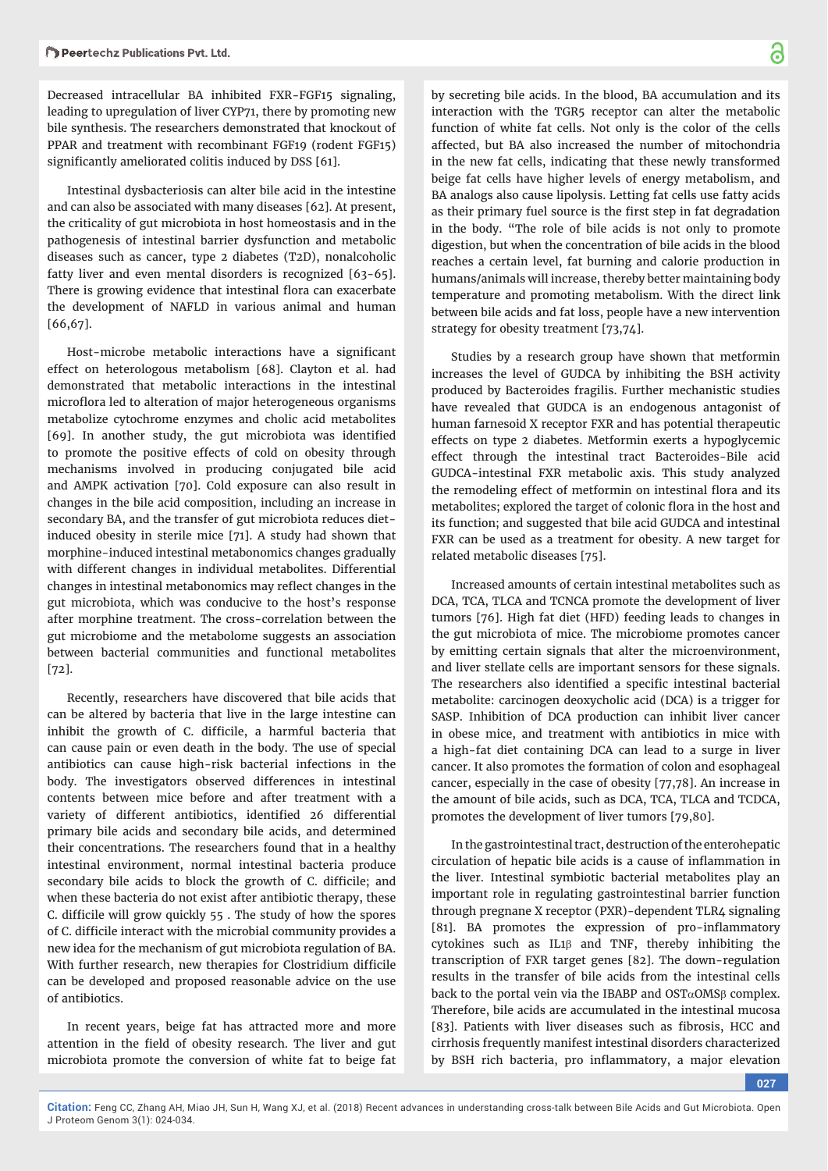Decreased intracellular BA inhibited FXR-FGF15 signaling, leading to upregulation of liver CYP71, there by promoting new bile synthesis. The researchers demonstrated that knockout of PPAR and treatment with recombinant FGF19 (rodent FGF15) significantly ameliorated colitis induced by DSS [61].

Intestinal dysbacteriosis can alter bile acid in the intestine and can also be associated with many diseases [62]. At present, the criticality of gut microbiota in host homeostasis and in the pathogenesis of intestinal barrier dysfunction and metabolic diseases such as cancer, type 2 diabetes (T2D), nonalcoholic fatty liver and even mental disorders is recognized [63-65]. There is growing evidence that intestinal flora can exacerbate the development of NAFLD in various animal and human [66,67].

Host-microbe metabolic interactions have a significant effect on heterologous metabolism [68]. Clayton et al. had demonstrated that metabolic interactions in the intestinal microflora led to alteration of major heterogeneous organisms metabolize cytochrome enzymes and cholic acid metabolites [69]. In another study, the gut microbiota was identified to promote the positive effects of cold on obesity through mechanisms involved in producing conjugated bile acid and AMPK activation [70]. Cold exposure can also result in changes in the bile acid composition, including an increase in secondary BA, and the transfer of gut microbiota reduces dietinduced obesity in sterile mice [71]. A study had shown that morphine-induced intestinal metabonomics changes gradually with different changes in individual metabolites. Differential changes in intestinal metabonomics may reflect changes in the gut microbiota, which was conducive to the host's response after morphine treatment. The cross-correlation between the gut microbiome and the metabolome suggests an association between bacterial communities and functional metabolites [72].

Recently, researchers have discovered that bile acids that can be altered by bacteria that live in the large intestine can inhibit the growth of C. difficile, a harmful bacteria that can cause pain or even death in the body. The use of special antibiotics can cause high-risk bacterial infections in the body. The investigators observed differences in intestinal contents between mice before and after treatment with a variety of different antibiotics, identified 26 differential primary bile acids and secondary bile acids, and determined their concentrations. The researchers found that in a healthy intestinal environment, normal intestinal bacteria produce secondary bile acids to block the growth of C. difficile; and when these bacteria do not exist after antibiotic therapy, these C. difficile will grow quickly 55. The study of how the spores of C. difficile interact with the microbial community provides a new idea for the mechanism of gut microbiota regulation of BA. With further research, new therapies for Clostridium difficile can be developed and proposed reasonable advice on the use of antibiotics.

In recent years, beige fat has attracted more and more attention in the field of obesity research. The liver and gut microbiota promote the conversion of white fat to beige fat

by secreting bile acids. In the blood, BA accumulation and its interaction with the TGR5 receptor can alter the metabolic function of white fat cells. Not only is the color of the cells affected, but BA also increased the number of mitochondria in the new fat cells, indicating that these newly transformed beige fat cells have higher levels of energy metabolism, and BA analogs also cause lipolysis. Letting fat cells use fatty acids as their primary fuel source is the first step in fat degradation in the body. "The role of bile acids is not only to promote digestion, but when the concentration of bile acids in the blood reaches a certain level, fat burning and calorie production in humans/animals will increase, thereby better maintaining body temperature and promoting metabolism. With the direct link between bile acids and fat loss, people have a new intervention strategy for obesity treatment [73,74].

Studies by a research group have shown that metformin increases the level of GUDCA by inhibiting the BSH activity produced by Bacteroides fragilis. Further mechanistic studies have revealed that GUDCA is an endogenous antagonist of human farnesoid X receptor FXR and has potential therapeutic effects on type 2 diabetes. Metformin exerts a hypoglycemic effect through the intestinal tract Bacteroides-Bile acid GUDCA-intestinal FXR metabolic axis. This study analyzed the remodeling effect of metformin on intestinal flora and its metabolites; explored the target of colonic flora in the host and its function; and suggested that bile acid GUDCA and intestinal FXR can be used as a treatment for obesity. A new target for related metabolic diseases [75].

Increased amounts of certain intestinal metabolites such as DCA, TCA, TLCA and TCNCA promote the development of liver tumors [76]. High fat diet (HFD) feeding leads to changes in the gut microbiota of mice. The microbiome promotes cancer by emitting certain signals that alter the microenvironment, and liver stellate cells are important sensors for these signals. The researchers also identified a specific intestinal bacterial metabolite: carcinogen deoxycholic acid (DCA) is a trigger for SASP. Inhibition of DCA production can inhibit liver cancer in obese mice, and treatment with antibiotics in mice with a high-fat diet containing DCA can lead to a surge in liver cancer. It also promotes the formation of colon and esophageal cancer, especially in the case of obesity [77,78]. An increase in the amount of bile acids, such as DCA, TCA, TLCA and TCDCA, promotes the development of liver tumors [79,80].

In the gastrointestinal tract, destruction of the enterohepatic circulation of hepatic bile acids is a cause of inflammation in the liver. Intestinal symbiotic bacterial metabolites play an important role in regulating gastrointestinal barrier function through pregnane X receptor (PXR)-dependent TLR4 signaling [81]. BA promotes the expression of pro-inflammatory cytokines such as  $IL1\beta$  and TNF, thereby inhibiting the transcription of FXR target genes [82]. The down-regulation results in the transfer of bile acids from the intestinal cells back to the portal vein via the IBABP and  $OST\alpha OMS\beta$  complex. Therefore, bile acids are accumulated in the intestinal mucosa [83]. Patients with liver diseases such as fibrosis, HCC and cirrhosis frequently manifest intestinal disorders characterized by BSH rich bacteria, pro inflammatory, a major elevation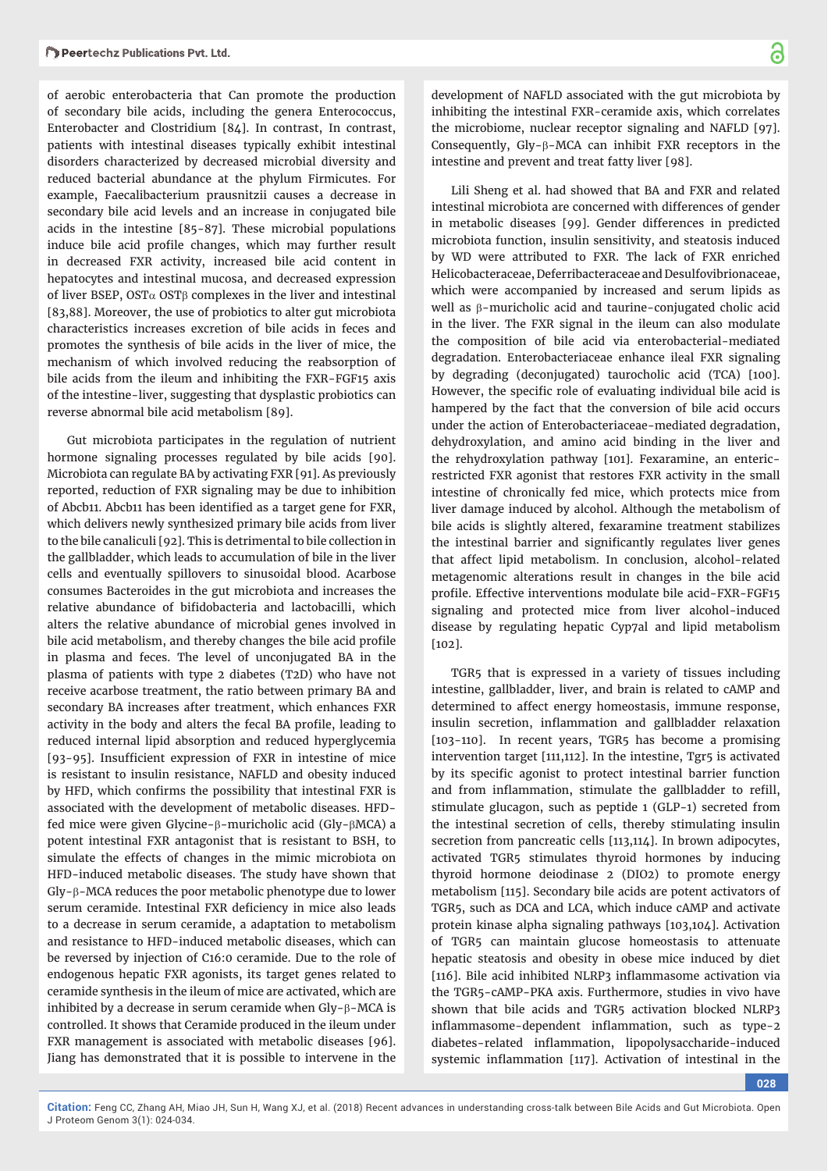of aerobic enterobacteria that Can promote the production of secondary bile acids, including the genera Enterococcus, Enterobacter and Clostridium [84]. In contrast, In contrast, patients with intestinal diseases typically exhibit intestinal disorders characterized by decreased microbial diversity and reduced bacterial abundance at the phylum Firmicutes. For example, Faecalibacterium prausnitzii causes a decrease in secondary bile acid levels and an increase in conjugated bile acids in the intestine [85-87]. These microbial populations induce bile acid profile changes, which may further result in decreased FXR activity, increased bile acid content in hepatocytes and intestinal mucosa, and decreased expression of liver BSEP, OST $\alpha$  OST $\beta$  complexes in the liver and intestinal [83,88].M oreover, the use of probiotics to alter gut microbiota characteristics increases excretion of bile acids in feces and promotes the synthesis of bile acids in the liver of mice, the mechanism of which involved reducing the reabsorption of bile acids from the ileum and inhibiting the FXR-FGF15 axis of the intestine-liver, suggesting that dysplastic probiotics can reverse abnormal bile acid metabolism [89].

Gut microbiota participates in the regulation of nutrient hormone signaling processes regulated by bile acids [90]. Microbiota can regulate BA by activating FXR [91]. As previously reported, reduction of FXR signaling may be due to inhibition of Abcb11. Abcb11 has been identified as a target gene for FXR, which delivers newly synthesized primary bile acids from liver to the bile canaliculi [92]. This is detrimental to bile collection in the gallbladder, which leads to accumulation of bile in the liver cells and eventually spillovers to sinusoidal blood. Acarbose consumes Bacteroides in the gut microbiota and increases the relative abundance of bifidobacteria and lactobacilli, which alters the relative abundance of microbial genes involved in bile acid metabolism, and thereby changes the bile acid profile in plasma and feces. The level of unconjugated BA in the plasma of patients with type 2 diabetes (T2D) who have not receive acarbose treatment, the ratio between primary BA and secondary BA increases after treatment, which enhances FXR activity in the body and alters the fecal BA profile, leading to reduced internal lipid absorption and reduced hyperglycemia [93-95]. Insufficient expression of FXR in intestine of mice is resistant to insulin resistance, NAFLD and obesity induced by HFD, which confirms the possibility that intestinal FXR is associated with the development of metabolic diseases. HFDfed mice were given Glycine- $\beta$ -muricholic acid (Gly- $\beta$ MCA) a potent intestinal FXR antagonist that is resistant to BSH, to simulate the effects of changes in the mimic microbiota on HFD-induced metabolic diseases. The study have shown that  $Gly-\beta-MCA$  reduces the poor metabolic phenotype due to lower serum ceramide. Intestinal FXR deficiency in mice also leads to a decrease in serum ceramide, a adaptation to metabolism and resistance to HFD-induced metabolic diseases, which can be reversed by injection of C16:0 ceramide. Due to the role of endogenous hepatic FXR agonists, its target genes related to ceramide synthesis in the ileum of mice are activated, which are inhibited by a decrease in serum ceramide when  $Gly-\beta-MCA$  is controlled. It shows that Ceramide produced in the ileum under FXR management is associated with metabolic diseases [96]. Jiang has demonstrated that it is possible to intervene in the

development of NAFLD associated with the gut microbiota by inhibiting the intestinal FXR-ceramide axis, which correlates the microbiome, nuclear receptor signaling and NAFLD [97]. Consequently, Gly- $\beta$ -MCA can inhibit FXR receptors in the intestine and prevent and treat fatty liver [98].

Lili Sheng et al. had showed that BA and FXR and related intestinal microbiota are concerned with differences of gender in metabolic diseases [99]. Gender differences in predicted microbiota function, insulin sensitivity, and steatosis induced by WD were attributed to FXR. The lack of FXR enriched Helicobacteraceae, Deferribacteraceae and Desulfovibrionaceae, which were accompanied by increased and serum lipids as well as  $\beta$ -muricholic acid and taurine-conjugated cholic acid in the liver. The FXR signal in the ileum can also modulate the composition of bile acid via enterobacterial-mediated degradation. Enterobacteriaceae enhance ileal FXR signaling by degrading (deconjugated) taurocholic acid (TCA) [100]. However, the specific role of evaluating individual bile acid is hampered by the fact that the conversion of bile acid occurs under the action of Enterobacteriaceae-mediated degradation, dehydroxylation, and amino acid binding in the liver and the rehydroxylation pathway [101]. Fexaramine, an entericrestricted FXR agonist that restores FXR activity in the small intestine of chronically fed mice, which protects mice from liver damage induced by alcohol. Although the metabolism of bile acids is slightly altered, fexaramine treatment stabilizes the intestinal barrier and significantly regulates liver genes that affect lipid metabolism. In conclusion, alcohol-related metagenomic alterations result in changes in the bile acid profile. Effective interventions modulate bile acid-FXR-FGF15 signaling and protected mice from liver alcohol-induced disease by regulating hepatic Cyp7al and lipid metabolism [102].

TGR5 that is expressed in a variety of tissues including intestine, gallbladder, liver, and brain is related to cAMP and determined to affect energy homeostasis, immune response, insulin secretion, inflammation and gallbladder relaxation [103-110]. In recent years, TGR5 has become a promising intervention target [111,112]. In the intestine, Tgr5 is activated by its specific agonist to protect intestinal barrier function and from inflammation, stimulate the gallbladder to refill, stimulate glucagon, such as peptide 1 (GLP-1) secreted from the intestinal secretion of cells, thereby stimulating insulin secretion from pancreatic cells [113,114]. In brown adipocytes, activated TGR5 stimulates thyroid hormones by inducing thyroid hormone deiodinase 2 (DIO2) to promote energy metabolism [115]. Secondary bile acids are potent activators of TGR5, such as DCA and LCA, which induce cAMP and activate protein kinase alpha signaling pathways [103,104]. Activation of TGR5 can maintain glucose homeostasis to attenuate hepatic steatosis and obesity in obese mice induced by diet [116]. Bile acid inhibited NLRP3 inflammasome activation via the TGR5-cAMP-PKA axis. Furthermore, studies in vivo have shown that bile acids and TGR5 activation blocked NLRP3 inflammasome-dependent inflammation, such as type-2 diabetes-related inflammation, lipopolysaccharide-induced systemic inflammation [117]. Activation of intestinal in the

**028**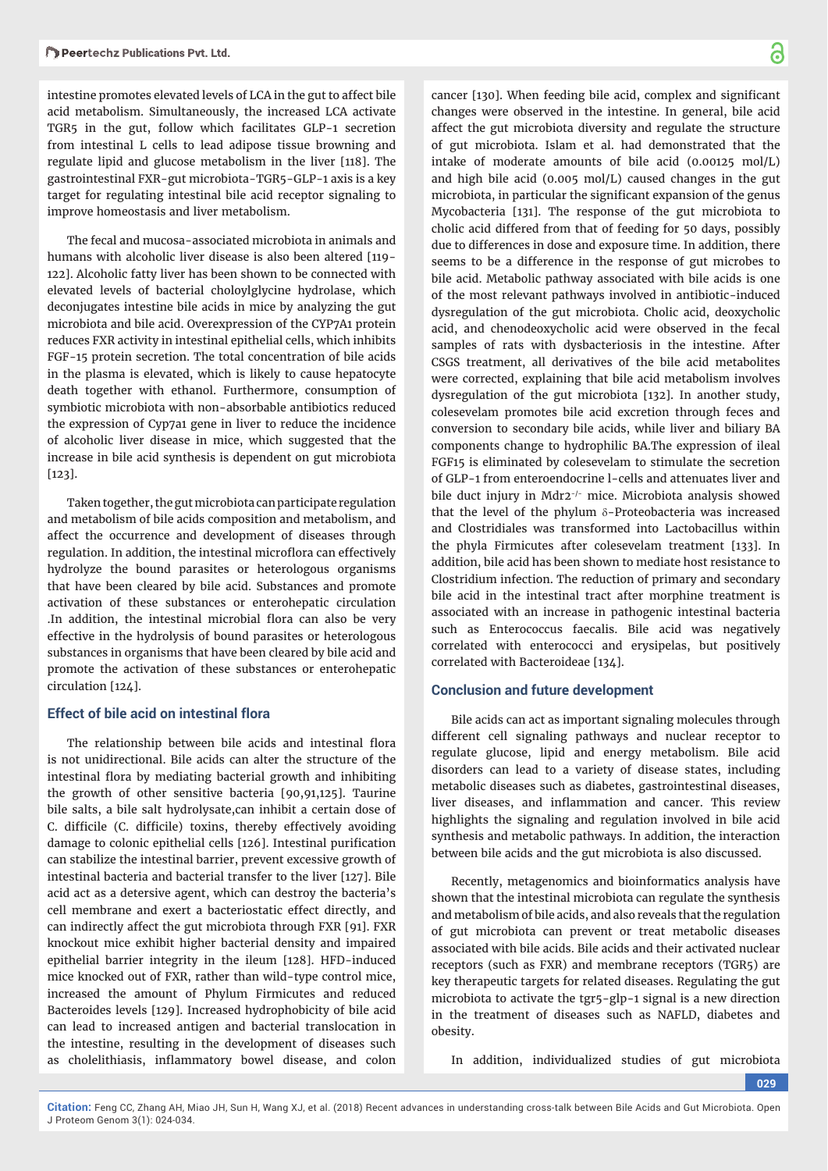intestine promotes elevated levels of LCA in the gut to affect bile acid metabolism. Simultaneously, the increased LCA activate TGR5 in the gut, follow which facilitates GLP-1 secretion from intestinal L cells to lead adipose tissue browning and regulate lipid and glucose metabolism in the liver [118]. The gastrointestinal FXR-gut microbiota-TGR5-GLP-1 axis is a key target for regulating intestinal bile acid receptor signaling to improve homeostasis and liver metabolism.

The fecal and mucosa-associated microbiota in animals and humans with alcoholic liver disease is also been altered [119-122]. Alcoholic fatty liver has been shown to be connected with elevated levels of bacterial choloylglycine hydrolase, which deconjugates intestine bile acids in mice by analyzing the gut microbiota and bile acid. Overexpression of the CYP7A1 protein reduces FXR activity in intestinal epithelial cells, which inhibits FGF-15 protein secretion. The total concentration of bile acids in the plasma is elevated, which is likely to cause hepatocyte death together with ethanol. Furthermore, consumption of symbiotic microbiota with non-absorbable antibiotics reduced the expression of Cyp7a1 gene in liver to reduce the incidence of alcoholic liver disease in mice, which suggested that the increase in bile acid synthesis is dependent on gut microbiota [123].

Taken together, the gut microbiota can participate regulation and metabolism of bile acids composition and metabolism, and affect the occurrence and development of diseases through regulation. In addition, the intestinal microflora can effectively hydrolyze the bound parasites or heterologous organisms that have been cleared by bile acid. Substances and promote activation of these substances or enterohepatic circulation .In addition, the intestinal microbial flora can also be very effective in the hydrolysis of bound parasites or heterologous substances in organisms that have been cleared by bile acid and promote the activation of these substances or enterohepatic circulation [124].

#### **Effect of bile acid on intestinal flora**

The relationship between bile acids and intestinal flora is not unidirectional. Bile acids can alter the structure of the intestinal flora by mediating bacterial growth and inhibiting the growth of other sensitive bacteria [90,91,125]. Taurine bile salts, a bile salt hydrolysate,can inhibit a certain dose of C. difficile (C. difficile) toxins, thereby effectively avoiding damage to colonic epithelial cells [126]. Intestinal purification can stabilize the intestinal barrier, prevent excessive growth of intestinal bacteria and bacterial transfer to the liver [127]. Bile acid act as a detersive agent, which can destroy the bacteria's cell membrane and exert a bacteriostatic effect directly, and can indirectly affect the gut microbiota through FXR [91]. FXR knockout mice exhibit higher bacterial density and impaired epithelial barrier integrity in the ileum [128]. HFD-induced mice knocked out of FXR, rather than wild-type control mice, increased the amount of Phylum Firmicutes and reduced Bacteroides levels [129]. Increased hydrophobicity of bile acid can lead to increased antigen and bacterial translocation in the intestine, resulting in the development of diseases such as cholelithiasis, inflammatory bowel disease, and colon

cancer [130]. When feeding bile acid, complex and significant changes were observed in the intestine. In general, bile acid affect the gut microbiota diversity and regulate the structure of gut microbiota. Islam et al. had demonstrated that the intake of moderate amounts of bile acid  $(0.00125 \text{ mol/L})$ and high bile acid (0.005 mol/L) caused changes in the gut microbiota, in particular the significant expansion of the genus Mycobacteria [131]. The response of the gut microbiota to cholic acid differed from that of feeding for 50 days, possibly due to differences in dose and exposure time. In addition, there seems to be a difference in the response of gut microbes to bile acid. Metabolic pathway associated with bile acids is one of the most relevant pathways involved in antibiotic-induced dysregulation of the gut microbiota. Cholic acid, deoxycholic acid, and chenodeoxycholic acid were observed in the fecal samples of rats with dysbacteriosis in the intestine. After CSGS treatment, all derivatives of the bile acid metabolites were corrected, explaining that bile acid metabolism involves dysregulation of the gut microbiota [132]. In another study, colesevelam promotes bile acid excretion through feces and conversion to secondary bile acids, while liver and biliary BA components change to hydrophilic BA.The expression of ileal FGF15 is eliminated by colesevelam to stimulate the secretion of GLP-1 from enteroendocrine l-cells and attenuates liver and bile duct injury in Mdr2-/- mice. Microbiota analysis showed that the level of the phylum  $\delta$ -Proteobacteria was increased and Clostridiales was transformed into Lactobacillus within the phyla Firmicutes after colesevelam treatment [133]. In addition, bile acid has been shown to mediate host resistance to Clostridium infection. The reduction of primary and secondary bile acid in the intestinal tract after morphine treatment is associated with an increase in pathogenic intestinal bacteria such as Enterococcus faecalis. Bile acid was negatively correlated with enterococci and erysipelas, but positively correlated with Bacteroideae [134].

#### **Conclusion and future development**

Bile acids can act as important signaling molecules through different cell signaling pathways and nuclear receptor to regulate glucose, lipid and energy metabolism. Bile acid disorders can lead to a variety of disease states, including metabolic diseases such as diabetes, gastrointestinal diseases, liver diseases, and inflammation and cancer. This review highlights the signaling and regulation involved in bile acid synthesis and metabolic pathways. In addition, the interaction between bile acids and the gut microbiota is also discussed.

Recently, metagenomics and bioinformatics analysis have shown that the intestinal microbiota can regulate the synthesis and metabolism of bile acids, and also reveals that the regulation of gut microbiota can prevent or treat metabolic diseases associated with bile acids. Bile acids and their activated nuclear receptors (such as FXR) and membrane receptors (TGR5) are key therapeutic targets for related diseases. Regulating the gut microbiota to activate the tgr5-glp-1 signal is a new direction in the treatment of diseases such as NAFLD, diabetes and obesity.

In addition, individualized studies of gut microbiota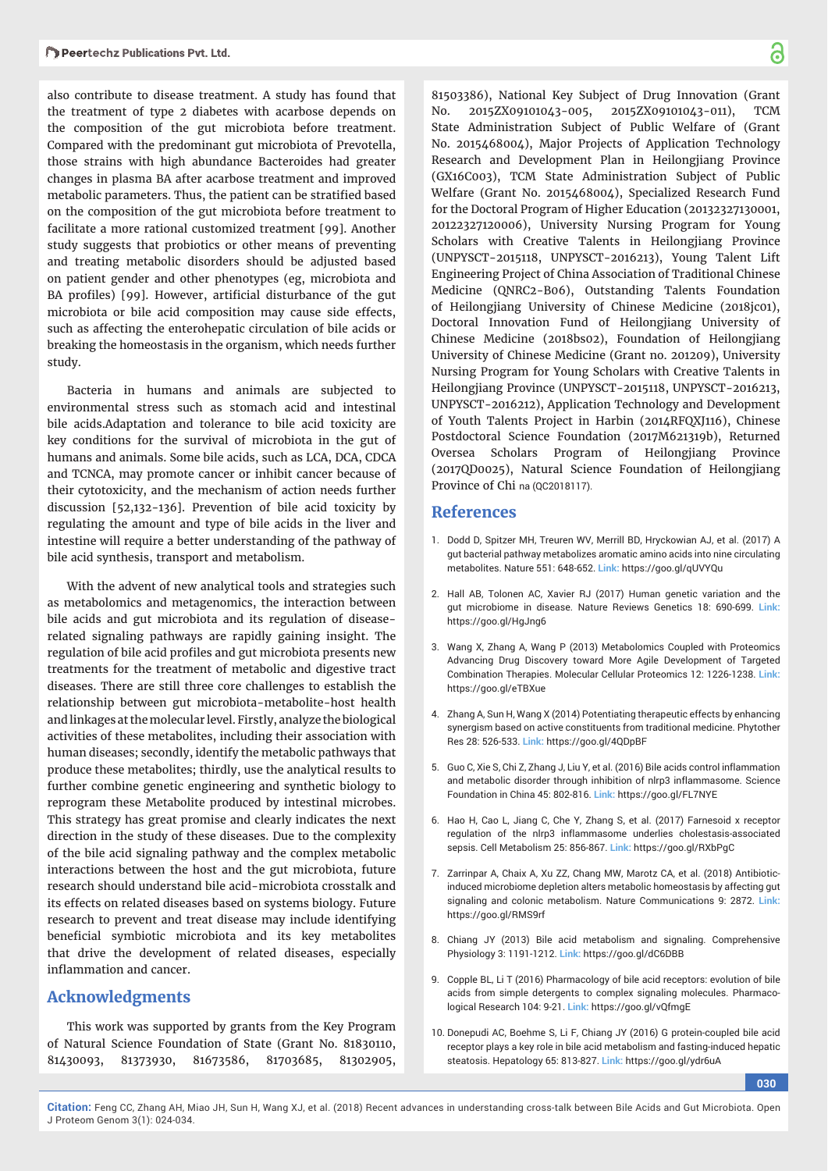also contribute to disease treatment. A study has found that the treatment of type 2 diabetes with acarbose depends on the composition of the gut microbiota before treatment. Compared with the predominant gut microbiota of Prevotella, those strains with high abundance Bacteroides had greater changes in plasma BA after acarbose treatment and improved metabolic parameters. Thus, the patient can be stratified based on the composition of the gut microbiota before treatment to facilitate a more rational customized treatment [99]. Another study suggests that probiotics or other means of preventing and treating metabolic disorders should be adjusted based on patient gender and other phenotypes (eg, microbiota and BA profiles) [99]. However, artificial disturbance of the gut microbiota or bile acid composition may cause side effects, such as affecting the enterohepatic circulation of bile acids or breaking the homeostasis in the organism, which needs further study.

Bacteria in humans and animals are subjected to environmental stress such as stomach acid and intestinal bile acids.Adaptation and tolerance to bile acid toxicity are key conditions for the survival of microbiota in the gut of humans and animals. Some bile acids, such as LCA, DCA, CDCA and TCNCA, may promote cancer or inhibit cancer because of their cytotoxicity, and the mechanism of action needs further discussion [52,132-136]. Prevention of bile acid toxicity by regulating the amount and type of bile acids in the liver and intestine will require a better understanding of the pathway of bile acid synthesis, transport and metabolism.

With the advent of new analytical tools and strategies such as metabolomics and metagenomics, the interaction between bile acids and gut microbiota and its regulation of diseaserelated signaling pathways are rapidly gaining insight. The regulation of bile acid profiles and gut microbiota presents new treatments for the treatment of metabolic and digestive tract diseases. There are still three core challenges to establish the relationship between gut microbiota-metabolite-host health and linkages at the molecular level. Firstly, analyze the biological activities of these metabolites, including their association with human diseases; secondly, identify the metabolic pathways that produce these metabolites; thirdly, use the analytical results to further combine genetic engineering and synthetic biology to reprogram these Metabolite produced by intestinal microbes. This strategy has great promise and clearly indicates the next direction in the study of these diseases. Due to the complexity of the bile acid signaling pathway and the complex metabolic interactions between the host and the gut microbiota, future research should understand bile acid-microbiota crosstalk and its effects on related diseases based on systems biology. Future research to prevent and treat disease may include identifying beneficial symbiotic microbiota and its key metabolites that drive the development of related diseases, especially inflammation and cancer.

## **Acknowledgments**

This work was supported by grants from the Key Program of Natural Science Foundation of State (Grant No. 81830110, 81430093, 81373930, 81673586, 81703685, 81302905,

81503386), National Key Subject of Drug Innovation (Grant No. 2015ZX09101043-005, 2015ZX09101043-011), TCM State Administration Subject of Public Welfare of (Grant No. 2015468004), Major Projects of Application Technology Research and Development Plan in Heilongjiang Province (GX16C003), TCM State Administration Subject of Public Welfare (Grant No. 2015468004), Specialized Research Fund for the Doctoral Program of Higher Education (20132327130001, 20122327120006), University Nursing Program for Young Scholars with Creative Talents in Heilongjiang Province (UNPYSCT-2015118, UNPYSCT-2016213), Young Talent Lift Engineering Project of China Association of Traditional Chinese Medicine (QNRC2-B06), Outstanding Talents Foundation of Heilongjiang University of Chinese Medicine (2018jc01), Doctoral Innovation Fund of Heilongjiang University of Chinese Medicine (2018bs02), Foundation of Heilongjiang University of Chinese Medicine (Grant no. 201209), University Nursing Program for Young Scholars with Creative Talents in Heilongjiang Province (UNPYSCT-2015118, UNPYSCT-2016213, UNPYSCT-2016212), Application Technology and Development of Youth Talents Project in Harbin (2014RFQXJ116), Chinese Postdoctoral Science Foundation (2017M621319b), Returned Oversea Scholars Program of Heilongjiang Province (2017QD0025), Natural Science Foundation of Heilongjiang Province of Chi na (QC2018117).

### **References**

- 1. Dodd D, Spitzer MH, Treuren WV, Merrill BD, Hryckowian AJ, et al. (2017) A gut bacterial pathway metabolizes aromatic amino acids into nine circulating metabolites. Nature 551: 648-652. **Link:** https://goo.gl/qUVYQu
- 2. Hall AB, Tolonen AC, Xavier RJ (2017) Human genetic variation and the gut microbiome in disease. Nature Reviews Genetics 18: 690-699. **Link:** https://goo.gl/HgJng6
- 3. Wang X, Zhang A, Wang P (2013) Metabolomics Coupled with Proteomics Advancing Drug Discovery toward More Agile Development of Targeted Combination Therapies. Molecular Cellular Proteomics 12: 1226-1238. **Link:** https://goo.gl/eTBXue
- 4. Zhang A, Sun H, Wang X (2014) Potentiating therapeutic effects by enhancing synergism based on active constituents from traditional medicine. Phytother Res 28: 526-533. **Link:** https://goo.gl/4QDpBF
- 5. Guo C, Xie S, Chi Z, Zhang J, Liu Y, et al. (2016) Bile acids control inflammation and metabolic disorder through inhibition of nlrp3 inflammasome. Science Foundation in China 45: 802-816. **Link:** https://goo.gl/FL7NYE
- 6. Hao H, Cao L, Jiang C, Che Y, Zhang S, et al. (2017) Farnesoid x receptor regulation of the nlrp3 inflammasome underlies cholestasis-associated sepsis. Cell Metabolism 25: 856-867. **Link:** https://goo.gl/RXbPgC
- 7. Zarrinpar A, Chaix A, Xu ZZ, Chang MW, Marotz CA, et al. (2018) Antibioticinduced microbiome depletion alters metabolic homeostasis by affecting gut signaling and colonic metabolism. Nature Communications 9: 2872. **Link:** https://goo.gl/RMS9rf
- 8. Chiang JY (2013) Bile acid metabolism and signaling. Comprehensive Physiology 3: 1191-1212. **Link:** https://goo.gl/dC6DBB
- 9. Copple BL, Li T (2016) Pharmacology of bile acid receptors: evolution of bile acids from simple detergents to complex signaling molecules. Pharmacological Research 104: 9-21. **Link:** https://goo.gl/vQfmgE
- 10. Donepudi AC, Boehme S, Li F, Chiang JY (2016) G protein-coupled bile acid receptor plays a key role in bile acid metabolism and fasting-induced hepatic steatosis. Hepatology 65: 813-827. **Link:** https://goo.gl/ydr6uA

**030**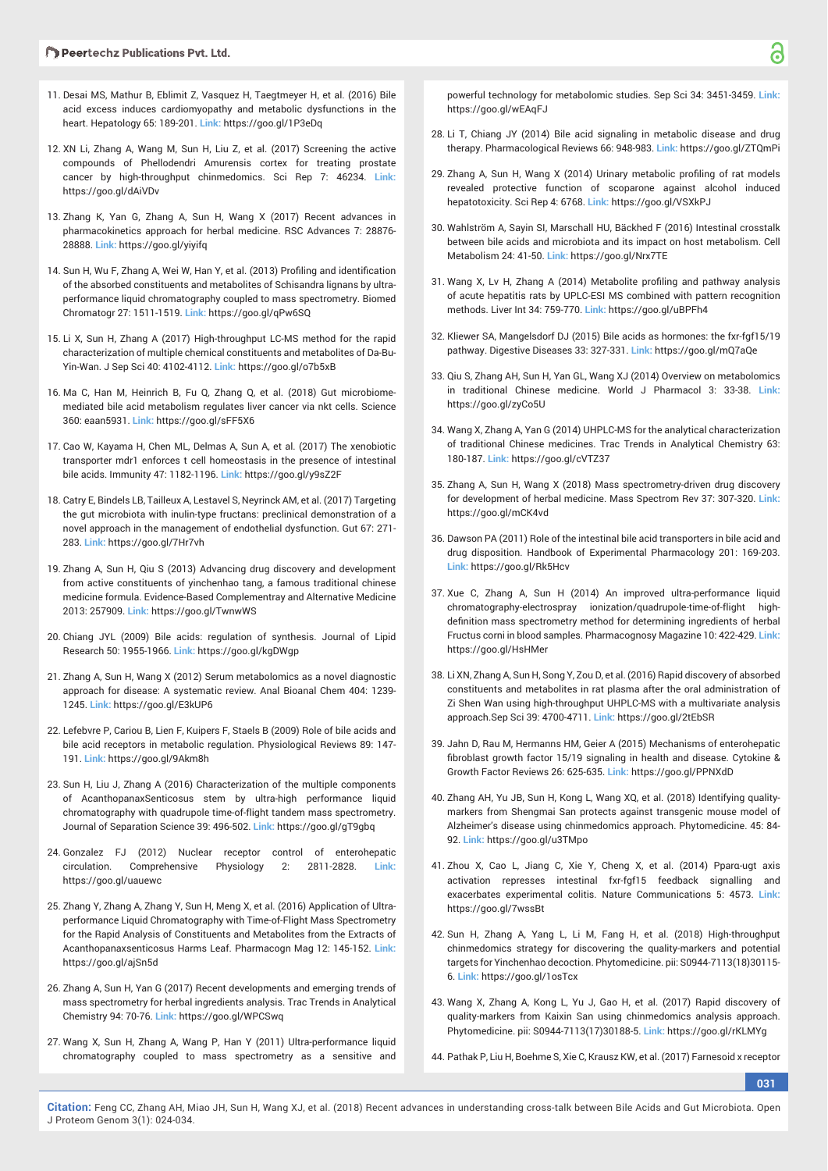- 11. Desai MS, Mathur B, Eblimit Z, Vasquez H, Taegtmeyer H, et al. (2016) Bile acid excess induces cardiomyopathy and metabolic dysfunctions in the heart. Hepatology 65: 189-201. **Link:** https://goo.gl/1P3eDq
- 12. XN Li, Zhang A, Wang M, Sun H, Liu Z, et al. (2017) Screening the active compounds of Phellodendri Amurensis cortex for treating prostate cancer by high-throughput chinmedomics. Sci Rep 7: 46234. **Link:** https://goo.gl/dAiVDv
- 13. Zhang K, Yan G, Zhang A, Sun H, Wang X (2017) Recent advances in pharmacokinetics approach for herbal medicine. RSC Advances 7: 28876- 28888. **Link:** https://goo.gl/yiyifq
- 14. Sun H, Wu F, Zhang A, Wei W, Han Y, et al. (2013) Profiling and identification of the absorbed constituents and metabolites of Schisandra lignans by ultraperformance liquid chromatography coupled to mass spectrometry. Biomed Chromatogr 27: 1511-1519. **Link:** https://goo.gl/qPw6SQ
- 15. Li X, Sun H, Zhang A (2017) High-throughput LC-MS method for the rapid characterization of multiple chemical constituents and metabolites of Da-Bu-Yin-Wan. J Sep Sci 40: 4102-4112. **Link:** https://goo.gl/o7b5xB
- 16. Ma C, Han M, Heinrich B, Fu Q, Zhang Q, et al. (2018) Gut microbiomemediated bile acid metabolism regulates liver cancer via nkt cells. Science 360: eaan5931. **Link:** https://goo.gl/sFF5X6
- 17. Cao W, Kayama H, Chen ML, Delmas A, Sun A, et al. (2017) The xenobiotic transporter mdr1 enforces t cell homeostasis in the presence of intestinal bile acids. Immunity 47: 1182-1196. **Link:** https://goo.gl/y9sZ2F
- 18. Catry E, Bindels LB, Tailleux A, Lestavel S, Neyrinck AM, et al. (2017) Targeting the gut microbiota with inulin-type fructans: preclinical demonstration of a novel approach in the management of endothelial dysfunction. Gut 67: 271- 283. **Link:** https://goo.gl/7Hr7vh
- 19. Zhang A, Sun H, Qiu S (2013) Advancing drug discovery and development from active constituents of yinchenhao tang, a famous traditional chinese medicine formula. Evidence-Based Complementray and Alternative Medicine 2013: 257909. **Link:** https://goo.gl/TwnwWS
- 20. Chiang JYL (2009) Bile acids: regulation of synthesis. Journal of Lipid Research 50: 1955-1966. **Link:** https://goo.gl/kgDWgp
- 21. Zhang A, Sun H, Wang X (2012) Serum metabolomics as a novel diagnostic approach for disease: A systematic review. Anal Bioanal Chem 404: 1239- 1245. **Link:** https://goo.gl/E3kUP6
- 22. Lefebvre P, Cariou B, Lien F, Kuipers F, Staels B (2009) Role of bile acids and bile acid receptors in metabolic regulation. Physiological Reviews 89: 147- 191. **Link:** https://goo.gl/9Akm8h
- 23. Sun H, Liu J, Zhang A (2016) Characterization of the multiple components of AcanthopanaxSenticosus stem by ultra-high performance liquid chromatography with quadrupole time-of-flight tandem mass spectrometry. Journal of Separation Science 39: 496-502. **Link:** https://goo.gl/gT9gbq
- 24. Gonzalez FJ (2012) Nuclear receptor control of enterohepatic circulation. Comprehensive Physiology 2: 2811-2828. **Link:** https://goo.gl/uauewc
- 25. Zhang Y, Zhang A, Zhang Y, Sun H, Meng X, et al. (2016) Application of Ultraperformance Liquid Chromatography with Time-of-Flight Mass Spectrometry for the Rapid Analysis of Constituents and Metabolites from the Extracts of Acanthopanaxsenticosus Harms Leaf. Pharmacogn Mag 12: 145-152. **Link:** https://goo.gl/ajSn5d
- 26. Zhang A, Sun H, Yan G (2017) Recent developments and emerging trends of mass spectrometry for herbal ingredients analysis. Trac Trends in Analytical Chemistry 94: 70-76. **Link:** https://goo.gl/WPCSwq
- 27. Wang X, Sun H, Zhang A, Wang P, Han Y (2011) Ultra-performance liquid chromatography coupled to mass spectrometry as a sensitive and

powerful technology for metabolomic studies. Sep Sci 34: 3451-3459. **Link:** https://goo.gl/wEAqFJ

- 28. Li T, Chiang JY (2014) Bile acid signaling in metabolic disease and drug therapy. Pharmacological Reviews 66: 948-983. **Link:** https://goo.gl/ZTQmPi
- 29. Zhang A, Sun H, Wang X (2014) Urinary metabolic profiling of rat models revealed protective function of scoparone against alcohol induced hepatotoxicity. Sci Rep 4: 6768. **Link:** https://goo.gl/VSXkPJ
- 30. Wahlström A, Sayin SI, Marschall HU, Bäckhed F (2016) Intestinal crosstalk between bile acids and microbiota and its impact on host metabolism. Cell Metabolism 24: 41-50. **Link:** https://goo.gl/Nrx7TE
- 31. Wang X, Lv H, Zhang A (2014) Metabolite profiling and pathway analysis of acute hepatitis rats by UPLC-ESI MS combined with pattern recognition methods. Liver Int 34: 759-770. **Link:** https://goo.gl/uBPFh4
- 32. Kliewer SA, Mangelsdorf DJ (2015) Bile acids as hormones: the fxr-fgf15/19 pathway. Digestive Diseases 33: 327-331. **Link:** https://goo.gl/mQ7aQe
- 33. Qiu S, Zhang AH, Sun H, Yan GL, Wang XJ (2014) Overview on metabolomics in traditional Chinese medicine. World J Pharmacol 3: 33-38. **Link:** https://goo.gl/zyCo5U
- 34. Wang X, Zhang A, Yan G (2014) UHPLC-MS for the analytical characterization of traditional Chinese medicines. Trac Trends in Analytical Chemistry 63: 180-187. **Link:** https://goo.gl/cVTZ37
- 35. Zhang A, Sun H, Wang X (2018) Mass spectrometry-driven drug discovery for development of herbal medicine. Mass Spectrom Rev 37: 307-320. **Link:** https://goo.gl/mCK4vd
- 36. Dawson PA (2011) Role of the intestinal bile acid transporters in bile acid and drug disposition. Handbook of Experimental Pharmacology 201: 169-203. **Link:** https://goo.gl/Rk5Hcv
- 37. Xue C, Zhang A, Sun H (2014) An improved ultra-performance liquid chromatography-electrospray ionization/quadrupole-time-of-flight highdefinition mass spectrometry method for determining ingredients of herbal Fructus corni in blood samples. Pharmacognosy Magazine 10: 422-429. **Link:** https://goo.gl/HsHMer
- 38. Li XN, Zhang A, Sun H, Song Y, Zou D, et al. (2016) Rapid discovery of absorbed constituents and metabolites in rat plasma after the oral administration of Zi Shen Wan using high-throughput UHPLC-MS with a multivariate analysis approach.Sep Sci 39: 4700-4711. **Link:** https://goo.gl/2tEbSR
- 39. Jahn D, Rau M, Hermanns HM, Geier A (2015) Mechanisms of enterohepatic fibroblast growth factor 15/19 signaling in health and disease. Cytokine & Growth Factor Reviews 26: 625-635. **Link:** https://goo.gl/PPNXdD
- 40. Zhang AH, Yu JB, Sun H, Kong L, Wang XQ, et al. (2018) Identifying qualitymarkers from Shengmai San protects against transgenic mouse model of Alzheimer's disease using chinmedomics approach. Phytomedicine. 45: 84- 92. **Link:** https://goo.gl/u3TMpo
- 41. Zhou X, Cao L, Jiang C, Xie Y, Cheng X, et al. (2014) Pparα-ugt axis activation represses intestinal fxr-fgf15 feedback signalling and exacerbates experimental colitis. Nature Communications 5: 4573. **Link:** https://goo.gl/7wssBt
- 42. Sun H, Zhang A, Yang L, Li M, Fang H, et al. (2018) High-throughput chinmedomics strategy for discovering the quality-markers and potential targets for Yinchenhao decoction. Phytomedicine. pii: S0944-7113(18)30115- 6. **Link:** https://goo.gl/1osTcx
- 43. Wang X, Zhang A, Kong L, Yu J, Gao H, et al. (2017) Rapid discovery of quality-markers from Kaixin San using chinmedomics analysis approach. Phytomedicine. pii: S0944-7113(17)30188-5. **Link:** https://goo.gl/rKLMYg
- 44. Pathak P, Liu H, Boehme S, Xie C, Krausz KW, et al. (2017) Farnesoid x receptor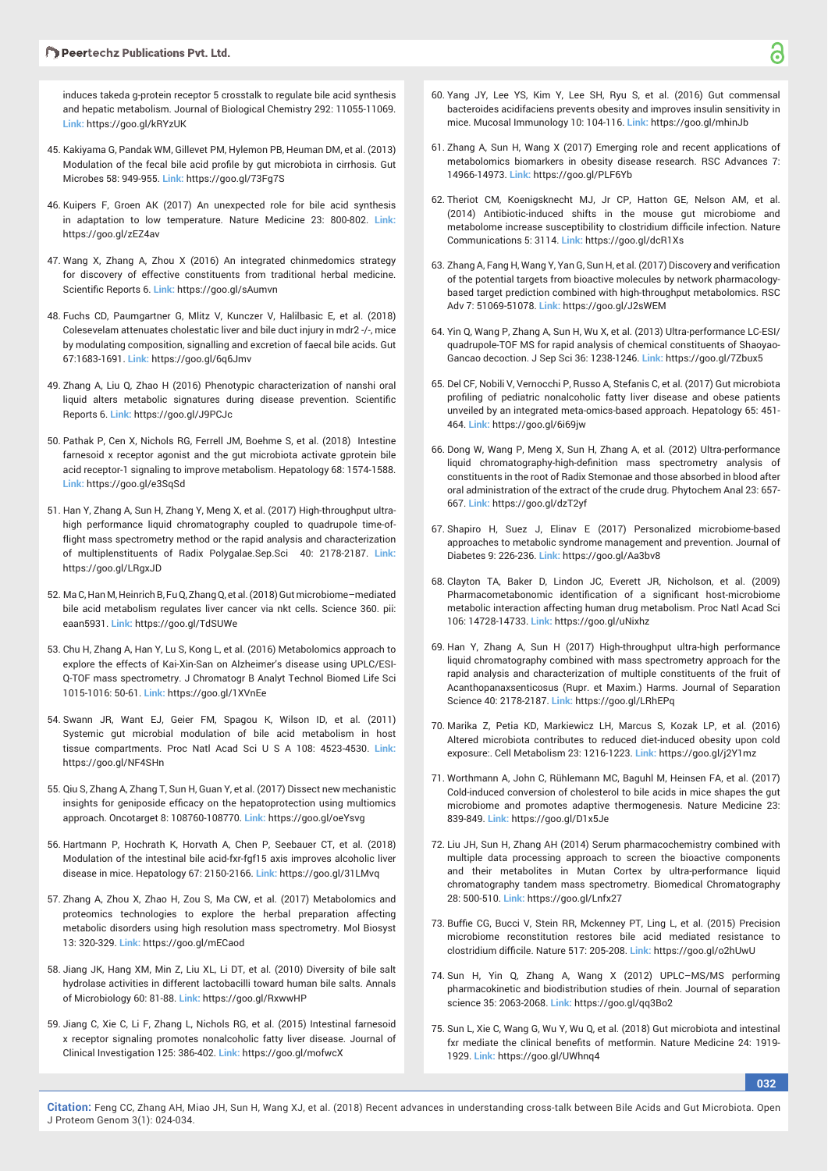induces takeda g-protein receptor 5 crosstalk to regulate bile acid synthesis and hepatic metabolism. Journal of Biological Chemistry 292: 11055-11069. **Link:** https://goo.gl/kRYzUK

- 45. Kakiyama G, Pandak WM, Gillevet PM, Hylemon PB, Heuman DM, et al. (2013) Modulation of the fecal bile acid profile by gut microbiota in cirrhosis. Gut Microbes 58: 949-955. **Link:** https://goo.gl/73Fg7S
- 46. Kuipers F, Groen AK (2017) An unexpected role for bile acid synthesis in adaptation to low temperature. Nature Medicine 23: 800-802. **Link:** https://goo.gl/zEZ4av
- 47. Wang X, Zhang A, Zhou X (2016) An integrated chinmedomics strategy for discovery of effective constituents from traditional herbal medicine. Scientific Reports 6. Link: https://goo.gl/sAumvn
- 48. Fuchs CD, Paumgartner G, Mlitz V, Kunczer V, Halilbasic E, et al. (2018) Colesevelam attenuates cholestatic liver and bile duct injury in mdr2 -/-, mice by modulating composition, signalling and excretion of faecal bile acids. Gut 67:1683-1691. **Link:** https://goo.gl/6q6Jmv
- 49. Zhang A, Liu Q, Zhao H (2016) Phenotypic characterization of nanshi oral liquid alters metabolic signatures during disease prevention. Scientific Reports 6. **Link:** https://goo.gl/J9PCJc
- 50. Pathak P, Cen X, Nichols RG, Ferrell JM, Boehme S, et al. (2018) Intestine farnesoid x receptor agonist and the gut microbiota activate gprotein bile acid receptor-1 signaling to improve metabolism. Hepatology 68: 1574-1588. **Link:** https://goo.gl/e3SqSd
- 51. Han Y, Zhang A, Sun H, Zhang Y, Meng X, et al. (2017) High-throughput ultrahigh performance liquid chromatography coupled to quadrupole time-offlight mass spectrometry method or the rapid analysis and characterization of multiplenstituents of Radix Polygalae.Sep.Sci 40: 2178-2187. **Link:** https://goo.gl/LRgxJD
- 52. Ma C, Han M, Heinrich B, Fu Q, Zhang Q, et al. (2018) Gut microbiome–mediated bile acid metabolism regulates liver cancer via nkt cells. Science 360. pii: eaan5931. **Link:** https://goo.gl/TdSUWe
- 53. Chu H, Zhang A, Han Y, Lu S, Kong L, et al. (2016) Metabolomics approach to explore the effects of Kai-Xin-San on Alzheimer's disease using UPLC/ESI-Q-TOF mass spectrometry. J Chromatogr B Analyt Technol Biomed Life Sci 1015-1016: 50-61. **Link:** https://goo.gl/1XVnEe
- 54. Swann JR, Want EJ, Geier FM, Spagou K, Wilson ID, et al. (2011) Systemic gut microbial modulation of bile acid metabolism in host tissue compartments. Proc Natl Acad Sci U S A 108: 4523-4530. **Link:** https://goo.gl/NF4SHn
- 55. Qiu S, Zhang A, Zhang T, Sun H, Guan Y, et al. (2017) Dissect new mechanistic insights for geniposide efficacy on the hepatoprotection using multiomics approach. Oncotarget 8: 108760-108770. **Link:** https://goo.gl/oeYsvg
- 56. Hartmann P, Hochrath K, Horvath A, Chen P, Seebauer CT, et al. (2018) Modulation of the intestinal bile acid-fxr-fgf15 axis improves alcoholic liver disease in mice. Hepatology 67: 2150-2166. **Link:** https://goo.gl/31LMvq
- 57. Zhang A, Zhou X, Zhao H, Zou S, Ma CW, et al. (2017) Metabolomics and proteomics technologies to explore the herbal preparation affecting metabolic disorders using high resolution mass spectrometry. Mol Biosyst 13: 320-329. **Link:** https://goo.gl/mECaod
- 58. Jiang JK, Hang XM, Min Z, Liu XL, Li DT, et al. (2010) Diversity of bile salt hydrolase activities in different lactobacilli toward human bile salts. Annals of Microbiology 60: 81-88. **Link:** https://goo.gl/RxwwHP
- 59. Jiang C, Xie C, Li F, Zhang L, Nichols RG, et al. (2015) Intestinal farnesoid x receptor signaling promotes nonalcoholic fatty liver disease. Journal of Clinical Investigation 125: 386-402. **Link:** https://goo.gl/mofwcX
- 60. Yang JY, Lee YS, Kim Y, Lee SH, Ryu S, et al. (2016) Gut commensal bacteroides acidifaciens prevents obesity and improves insulin sensitivity in mice. Mucosal Immunology 10: 104-116. **Link:** https://goo.gl/mhinJb
- 61. Zhang A, Sun H, Wang X (2017) Emerging role and recent applications of metabolomics biomarkers in obesity disease research. RSC Advances 7: 14966-14973. **Link:** https://goo.gl/PLF6Yb
- 62. Theriot CM, Koenigsknecht MJ, Jr CP, Hatton GE, Nelson AM, et al. (2014) Antibiotic-induced shifts in the mouse gut microbiome and metabolome increase susceptibility to clostridium difficile infection. Nature Communications 5: 3114. **Link:** https://goo.gl/dcR1Xs
- 63. Zhang A, Fang H, Wang Y, Yan G, Sun H, et al. (2017) Discovery and verification of the potential targets from bioactive molecules by network pharmacologybased target prediction combined with high-throughput metabolomics. RSC Adv 7: 51069-51078. **Link:** https://goo.gl/J2sWEM
- 64. Yin Q, Wang P, Zhang A, Sun H, Wu X, et al. (2013) Ultra-performance LC-ESI/ quadrupole-TOF MS for rapid analysis of chemical constituents of Shaoyao-Gancao decoction. J Sep Sci 36: 1238-1246. **Link:** https://goo.gl/7Zbux5
- 65. Del CF, Nobili V, Vernocchi P, Russo A, Stefanis C, et al. (2017) Gut microbiota profiling of pediatric nonalcoholic fatty liver disease and obese patients unveiled by an integrated meta-omics-based approach. Hepatology 65: 451- 464. **Link:** https://goo.gl/6i69jw
- 66. Dong W, Wang P, Meng X, Sun H, Zhang A, et al. (2012) Ultra-performance liquid chromatography-high-definition mass spectrometry analysis of constituents in the root of Radix Stemonae and those absorbed in blood after oral administration of the extract of the crude drug. Phytochem Anal 23: 657- 667. **Link:** https://goo.gl/dzT2yf
- 67. Shapiro H, Suez J, Elinav E (2017) Personalized microbiome-based approaches to metabolic syndrome management and prevention. Journal of Diabetes 9: 226-236. **Link:** https://goo.gl/Aa3bv8
- 68. Clayton TA, Baker D, Lindon JC, Everett JR, Nicholson, et al. (2009) Pharmacometabonomic identification of a significant host-microbiome metabolic interaction affecting human drug metabolism. Proc Natl Acad Sci 106: 14728-14733. **Link:** https://goo.gl/uNixhz
- 69. Han Y, Zhang A, Sun H (2017) High-throughput ultra-high performance liquid chromatography combined with mass spectrometry approach for the rapid analysis and characterization of multiple constituents of the fruit of Acanthopanaxsenticosus (Rupr. et Maxim.) Harms. Journal of Separation Science 40: 2178-2187. **Link:** https://goo.gl/LRhEPq
- 70. Marika Z, Petia KD, Markiewicz LH, Marcus S, Kozak LP, et al. (2016) Altered microbiota contributes to reduced diet-induced obesity upon cold exposure:. Cell Metabolism 23: 1216-1223. **Link:** https://goo.gl/j2Y1mz
- 71. Worthmann A, John C, Rühlemann MC, Baguhl M, Heinsen FA, et al. (2017) Cold-induced conversion of cholesterol to bile acids in mice shapes the gut microbiome and promotes adaptive thermogenesis. Nature Medicine 23: 839-849. **Link:** https://goo.gl/D1x5Je
- 72. Liu JH, Sun H, Zhang AH (2014) Serum pharmacochemistry combined with multiple data processing approach to screen the bioactive components and their metabolites in Mutan Cortex by ultra-performance liquid chromatography tandem mass spectrometry. Biomedical Chromatography 28: 500-510. **Link:** https://goo.gl/Lnfx27
- 73. Buffie CG, Bucci V, Stein RR, Mckenney PT, Ling L, et al. (2015) Precision microbiome reconstitution restores bile acid mediated resistance to clostridium difficile. Nature 517: 205-208. Link: https://goo.gl/o2hUwU
- 74. Sun H, Yin Q, Zhang A, Wang X (2012) UPLC–MS/MS performing pharmacokinetic and biodistribution studies of rhein. Journal of separation science 35: 2063-2068. **Link:** https://goo.gl/qq3Bo2
- 75. Sun L, Xie C, Wang G, Wu Y, Wu Q, et al. (2018) Gut microbiota and intestinal fxr mediate the clinical benefits of metformin. Nature Medicine 24: 1919-1929. **Link:** https://goo.gl/UWhnq4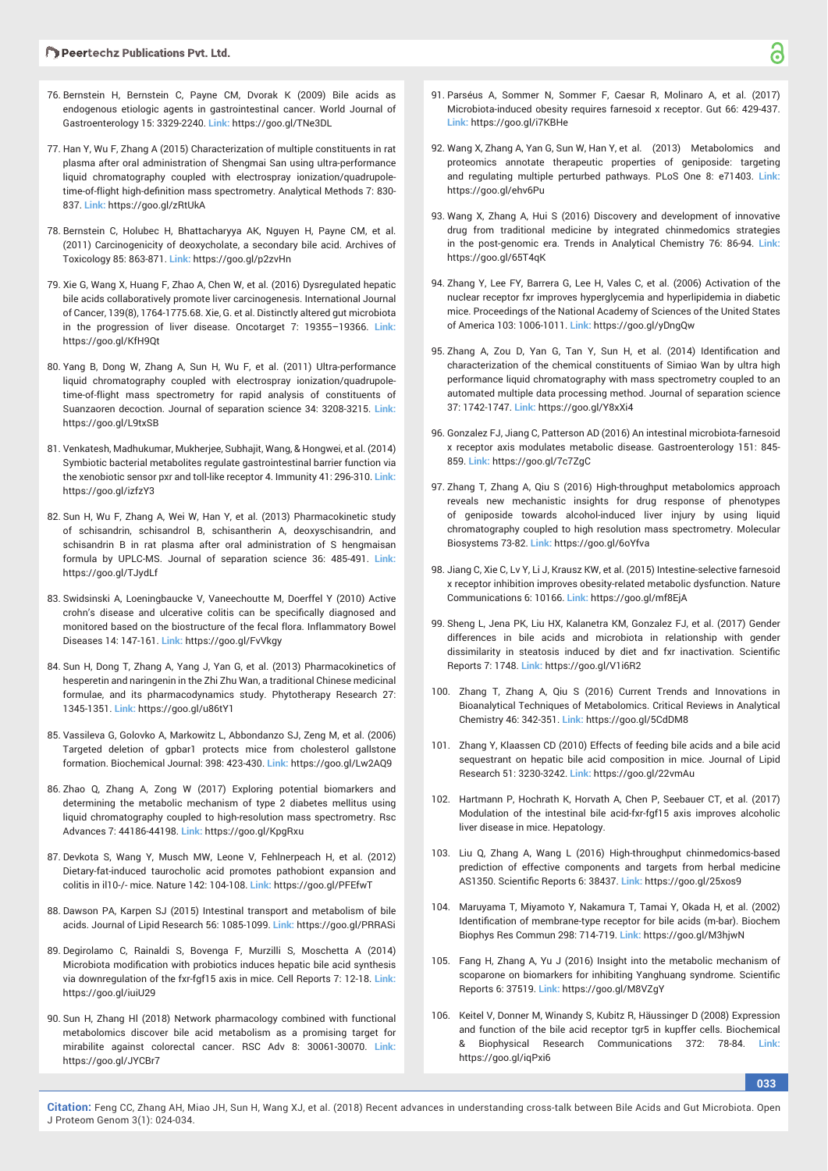- 76. Bernstein H, Bernstein C, Payne CM, Dvorak K (2009) Bile acids as endogenous etiologic agents in gastrointestinal cancer. World Journal of Gastroenterology 15: 3329-2240. **Link:** https://goo.gl/TNe3DL
- 77. Han Y, Wu F, Zhang A (2015) Characterization of multiple constituents in rat plasma after oral administration of Shengmai San using ultra-performance liquid chromatography coupled with electrospray ionization/quadrupoletime-of-flight high-definition mass spectrometry. Analytical Methods 7: 830-837. **Link:** https://goo.gl/zRtUkA
- 78. Bernstein C, Holubec H, Bhattacharyya AK, Nguyen H, Payne CM, et al. (2011) Carcinogenicity of deoxycholate, a secondary bile acid. Archives of Toxicology 85: 863-871. **Link:** https://goo.gl/p2zvHn
- 79. Xie G, Wang X, Huang F, Zhao A, Chen W, et al. (2016) Dysregulated hepatic bile acids collaboratively promote liver carcinogenesis. International Journal of Cancer, 139(8), 1764-1775.68. Xie, G. et al. Distinctly altered gut microbiota in the progression of liver disease. Oncotarget 7: 19355–19366. **Link:** https://goo.gl/KfH9Qt
- 80. Yang B, Dong W, Zhang A, Sun H, Wu F, et al. (2011) Ultra-performance liquid chromatography coupled with electrospray ionization/quadrupoletime-of-flight mass spectrometry for rapid analysis of constituents of Suanzaoren decoction. Journal of separation science 34: 3208-3215. **Link:** https://goo.gl/L9txSB
- 81. Venkatesh, Madhukumar, Mukherjee, Subhajit, Wang, & Hongwei, et al. (2014) Symbiotic bacterial metabolites regulate gastrointestinal barrier function via the xenobiotic sensor pxr and toll-like receptor 4. Immunity 41: 296-310. **Link:** https://goo.gl/izfzY3
- 82. Sun H, Wu F, Zhang A, Wei W, Han Y, et al. (2013) Pharmacokinetic study of schisandrin, schisandrol B, schisantherin A, deoxyschisandrin, and schisandrin B in rat plasma after oral administration of S hengmaisan formula by UPLC-MS. Journal of separation science 36: 485-491. **Link:** https://goo.gl/TJydLf
- 83. Swidsinski A, Loeningbaucke V, Vaneechoutte M, Doerffel Y (2010) Active crohn's disease and ulcerative colitis can be specifically diagnosed and monitored based on the biostructure of the fecal flora. Inflammatory Bowel Diseases 14: 147-161. **Link:** https://goo.gl/FvVkgy
- 84. Sun H, Dong T, Zhang A, Yang J, Yan G, et al. (2013) Pharmacokinetics of hesperetin and naringenin in the Zhi Zhu Wan, a traditional Chinese medicinal formulae, and its pharmacodynamics study. Phytotherapy Research 27: 1345-1351. **Link:** https://goo.gl/u86tY1
- 85. Vassileva G, Golovko A, Markowitz L, Abbondanzo SJ, Zeng M, et al. (2006) Targeted deletion of gpbar1 protects mice from cholesterol gallstone formation. Biochemical Journal: 398: 423-430. **Link:** https://goo.gl/Lw2AQ9
- 86. Zhao Q, Zhang A, Zong W (2017) Exploring potential biomarkers and determining the metabolic mechanism of type 2 diabetes mellitus using liquid chromatography coupled to high-resolution mass spectrometry. Rsc Advances 7: 44186-44198. **Link:** https://goo.gl/KpgRxu
- 87. Devkota S, Wang Y, Musch MW, Leone V, Fehlnerpeach H, et al. (2012) Dietary-fat-induced taurocholic acid promotes pathobiont expansion and colitis in il10-/- mice. Nature 142: 104-108. **Link:** https://goo.gl/PFEfwT
- 88. Dawson PA, Karpen SJ (2015) Intestinal transport and metabolism of bile acids. Journal of Lipid Research 56: 1085-1099. **Link:** https://goo.gl/PRRASi
- 89. Degirolamo C, Rainaldi S, Bovenga F, Murzilli S, Moschetta A (2014) Microbiota modification with probiotics induces hepatic bile acid synthesis via downregulation of the fxr-fgf15 axis in mice. Cell Reports 7: 12-18. **Link:** https://goo.gl/iuiU29
- 90. Sun H, Zhang Hl (2018) Network pharmacology combined with functional metabolomics discover bile acid metabolism as a promising target for mirabilite against colorectal cancer. RSC Adv 8: 30061-30070. **Link:** https://goo.gl/JYCBr7
- 91. Parséus A, Sommer N, Sommer F, Caesar R, Molinaro A, et al. (2017) Microbiota-induced obesity requires farnesoid x receptor. Gut 66: 429-437. **Link:** https://goo.gl/i7KBHe
- 92. Wang X, Zhang A, Yan G, Sun W, Han Y, et al. (2013) Metabolomics and proteomics annotate therapeutic properties of geniposide: targeting and regulating multiple perturbed pathways. PLoS One 8: e71403. **Link:** https://goo.gl/ehv6Pu
- 93. Wang X, Zhang A, Hui S (2016) Discovery and development of innovative drug from traditional medicine by integrated chinmedomics strategies in the post-genomic era. Trends in Analytical Chemistry 76: 86-94. **Link:** https://goo.gl/65T4qK
- 94. Zhang Y, Lee FY, Barrera G, Lee H, Vales C, et al. (2006) Activation of the nuclear receptor fxr improves hyperglycemia and hyperlipidemia in diabetic mice. Proceedings of the National Academy of Sciences of the United States of America 103: 1006-1011. **Link:** https://goo.gl/yDngQw
- 95. Zhang A, Zou D, Yan G, Tan Y, Sun H, et al. (2014) Identification and characterization of the chemical constituents of Simiao Wan by ultra high performance liquid chromatography with mass spectrometry coupled to an automated multiple data processing method. Journal of separation science 37: 1742-1747. **Link:** https://goo.gl/Y8xXi4
- 96. Gonzalez FJ, Jiang C, Patterson AD (2016) An intestinal microbiota-farnesoid x receptor axis modulates metabolic disease. Gastroenterology 151: 845- 859. **Link:** https://goo.gl/7c7ZgC
- 97. Zhang T, Zhang A, Qiu S (2016) High-throughput metabolomics approach reveals new mechanistic insights for drug response of phenotypes of geniposide towards alcohol-induced liver injury by using liquid chromatography coupled to high resolution mass spectrometry. Molecular Biosystems 73-82. **Link:** https://goo.gl/6oYfva
- 98. Jiang C, Xie C, Lv Y, Li J, Krausz KW, et al. (2015) Intestine-selective farnesoid x receptor inhibition improves obesity-related metabolic dysfunction. Nature Communications 6: 10166. **Link:** https://goo.gl/mf8EjA
- 99. Sheng L, Jena PK, Liu HX, Kalanetra KM, Gonzalez FJ, et al. (2017) Gender differences in bile acids and microbiota in relationship with gender dissimilarity in steatosis induced by diet and fxr inactivation. Scientific Reports 7: 1748. **Link:** https://goo.gl/V1i6R2
- 100. Zhang T, Zhang A, Qiu S (2016) Current Trends and Innovations in Bioanalytical Techniques of Metabolomics. Critical Reviews in Analytical Chemistry 46: 342-351. **Link:** https://goo.gl/5CdDM8
- 101. Zhang Y, Klaassen CD (2010) Effects of feeding bile acids and a bile acid sequestrant on hepatic bile acid composition in mice. Journal of Lipid Research 51: 3230-3242. **Link:** https://goo.gl/22vmAu
- 102. Hartmann P, Hochrath K, Horvath A, Chen P, Seebauer CT, et al. (2017) Modulation of the intestinal bile acid-fxr-fgf15 axis improves alcoholic liver disease in mice. Hepatology.
- 103. Liu Q, Zhang A, Wang L (2016) High-throughput chinmedomics-based prediction of effective components and targets from herbal medicine AS1350. Scientific Reports 6: 38437. Link: https://goo.gl/25xos9
- 104. Maruyama T, Miyamoto Y, Nakamura T, Tamai Y, Okada H, et al. (2002) Identification of membrane-type receptor for bile acids (m-bar). Biochem Biophys Res Commun 298: 714-719. **Link:** https://goo.gl/M3hjwN
- 105. Fang H, Zhang A, Yu J (2016) Insight into the metabolic mechanism of scoparone on biomarkers for inhibiting Yanghuang syndrome. Scientific Reports 6: 37519. **Link:** https://goo.gl/M8VZgY
- 106. Keitel V, Donner M, Winandy S, Kubitz R, Häussinger D (2008) Expression and function of the bile acid receptor tgr5 in kupffer cells. Biochemical & Biophysical Research Communications 372: 78-84. **Link:** https://goo.gl/iqPxi6